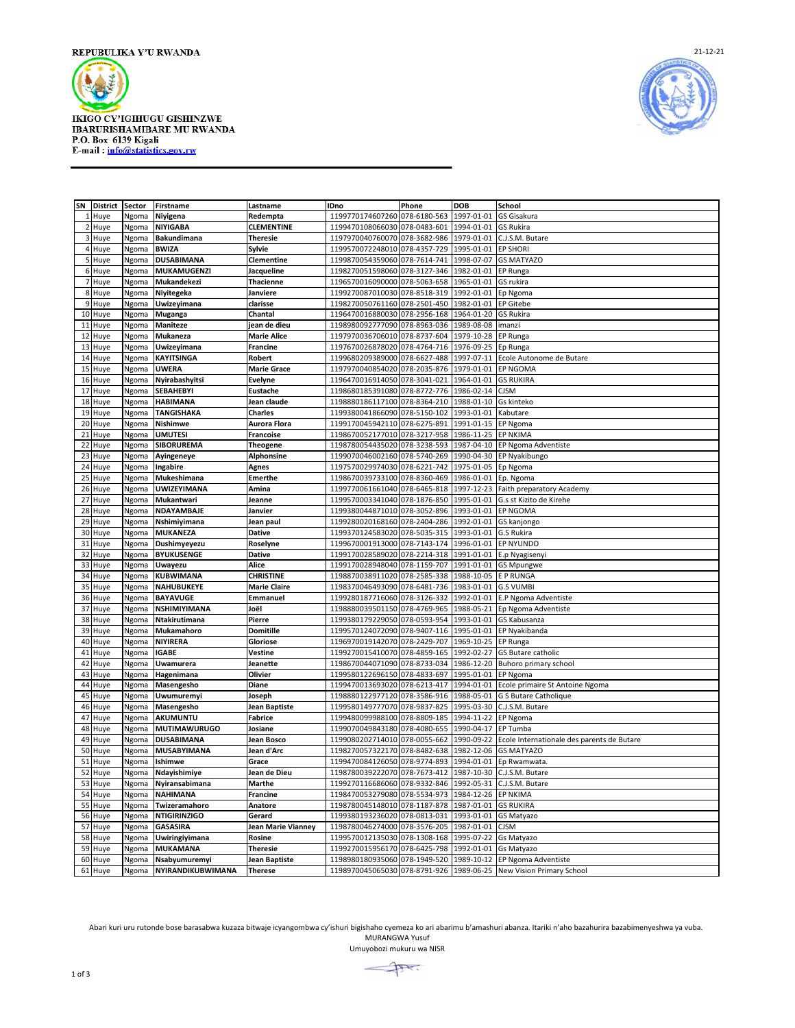

**IKIGO CY'IGIHUGU GISHINZWE IRARURISHAMIBARE MU RWANDA<br>P.O. Box 6139 Kigali<br>E-mail : info@statistics.gov.rw** 



| SN              | <b>District</b> | <b>Sector</b> | <b>Firstname</b>         | Lastname             | IDno                          | Phone        | <b>DOB</b>          | School                                                             |
|-----------------|-----------------|---------------|--------------------------|----------------------|-------------------------------|--------------|---------------------|--------------------------------------------------------------------|
|                 | 1 Huye          | Ngoma         | Niyigena                 | Redempta             | 1199770174607260              | 078-6180-563 | 1997-01-01          | GS Gisakura                                                        |
|                 | 2 Huye          | Ngoma         | NIYIGABA                 | <b>CLEMENTINE</b>    | 1199470108066030              | 078-0483-601 | 1994-01-01          | <b>GS Rukira</b>                                                   |
|                 | 3 Huye          | Ngoma         | Bakundimana              | <b>Theresie</b>      | 1197970040760070              | 078-3682-986 | 1979-01-01          | C.J.S.M. Butare                                                    |
|                 |                 |               |                          |                      |                               |              |                     |                                                                    |
| $\overline{4}$  | Huye            | Ngoma         | <b>BWIZA</b>             | Sylvie               | 1199570072248010              | 078-4357-729 | 1995-01-01          | <b>EP SHORI</b>                                                    |
| 5               | Huye            | Ngoma         | <b>DUSABIMANA</b>        | Clementine           | 1199870054359060              | 078-7614-741 | 1998-07-07          | <b>GS MATYAZO</b>                                                  |
|                 | 6 Huye          | Ngoma         | MUKAMUGENZI              | Jacqueline           | 1198270051598060              | 078-3127-346 | 1982-01-01          | EP Runga                                                           |
|                 | 7 Huye          | Ngoma         | Mukandekezi              | <b>Thacienne</b>     | 1196570016090000              | 078-5063-658 | 1965-01-01          | GS rukira                                                          |
|                 | 8 Huye          | Ngoma         | Niyitegeka               | Janviere             | 1199270087010030              | 078-8518-319 | 1992-01-01          | Ep Ngoma                                                           |
|                 |                 |               |                          |                      |                               |              |                     |                                                                    |
| 9               | Huye            | Ngoma         | Uwizeyimana              | clarisse             | 1198270050761160              | 078-2501-450 | 1982-01-01          | <b>EP Gitebe</b>                                                   |
| 10 <sup>1</sup> | Huye            | Ngoma         | Muganga                  | Chantal              | 1196470016880030              | 078-2956-168 | 1964-01-20          | <b>GS Rukira</b>                                                   |
|                 | 11 Huye         | Ngoma         | Maniteze                 | jean de dieu         | 1198980092777090              | 078-8963-036 | 1989-08-08          | imanzi                                                             |
| 12              | Huye            | Ngoma         | Mukaneza                 | <b>Marie Alice</b>   | 1197970036706010 078-8737-604 |              | 1979-10-28 EP Runga |                                                                    |
|                 | 13 Huye         | Ngoma         | Uwizeyimana              | Francine             | 1197670026878020              | 078-4764-716 | 1976-09-25          | Ep Runga                                                           |
|                 |                 |               |                          |                      |                               |              |                     |                                                                    |
| 14              | Huye            | Ngoma         | <b>KAYITSINGA</b>        | Robert               | 1199680209389000              | 078-6627-488 | 1997-07-11          | Ecole Autonome de Butare                                           |
| 15              | Huye            | Ngoma         | UWERA                    | <b>Marie Grace</b>   | 1197970040854020              | 078-2035-876 | 1979-01-01          | EP NGOMA                                                           |
| 16              | Huye            | Ngoma         | Nyirabashyitsi           | <b>Evelyne</b>       | 1196470016914050              | 078-3041-021 | 1964-01-01          | <b>GS RUKIRA</b>                                                   |
| 17              | Huye            | Ngoma         | SEBAHEBYI                | <b>Eustache</b>      | 1198680185391080              | 078-8772-776 | 1986-02-14          | <b>CJSM</b>                                                        |
|                 | 18 Huye         | Ngoma         | <b>HABIMANA</b>          | Jean claude          | 1198880186117100              | 078-8364-210 | 1988-01-10          | Gs kinteko                                                         |
|                 |                 |               |                          |                      |                               |              |                     |                                                                    |
| 19              | Huye            | Ngoma         | <b>TANGISHAKA</b>        | <b>Charles</b>       | 1199380041866090              | 078-5150-102 | 1993-01-01          | Kabutare                                                           |
|                 | 20 Huye         | Ngoma         | Nishimwe                 | Aurora Flora         | 1199170045942110              | 078-6275-891 | 1991-01-15          | EP Ngoma                                                           |
| 21              | Huye            | Ngoma         | <b>UMUTESI</b>           | <b>Francoise</b>     | 1198670052177010              | 078-3217-958 | 1986-11-25          | <b>EP NKIMA</b>                                                    |
| 22              | Huye            | Ngoma         | SIBORUREMA               | <b>Theogene</b>      | 1198780054435020 078-3238-593 |              |                     | 1987-04-10 EP Ngoma Adventiste                                     |
|                 |                 |               |                          |                      | 1199070046002160              | 078-5740-269 |                     |                                                                    |
|                 | 23 Huye         | Ngoma         | Ayingeneye               | Alphonsine           |                               |              | 1990-04-30          | EP Nyakibungo                                                      |
| 24              | Huye            | Ngoma         | Ingabire                 | <b>Agnes</b>         | 1197570029974030              | 078-6221-742 | 1975-01-05 Ep Ngoma |                                                                    |
| 25              | Huye            | Ngoma         | Mukeshimana              | <b>Emerthe</b>       | 1198670039733100              | 078-8360-469 | 1986-01-01          | Ep. Ngoma                                                          |
| 26              | Huye            | Ngoma         | <b>UWIZEYIMANA</b>       | Amina                | 1199770061661040              | 078-6465-818 | 1997-12-23          | Faith preparatory Academy                                          |
| 27              | Huye            | Ngoma         | Mukantwari               | Jeanne               | 1199570003341040 078-1876-850 |              |                     | 1995-01-01 G.s st Kizito de Kirehe                                 |
|                 |                 |               | NDAYAMBAJE               | Janvier              | 1199380044871010              | 078-3052-896 | 1993-01-01          |                                                                    |
|                 | 28 Huye         | Ngoma         |                          |                      |                               |              |                     | <b>EP NGOMA</b>                                                    |
| 29              | Huye            | Ngoma         | Nshimiyimana             | Jean paul            | 1199280020168160              | 078-2404-286 | 1992-01-01          | GS kanjongo                                                        |
| 30              | Huye            | Ngoma         | <b>MUKANEZA</b>          | <b>Dative</b>        | 1199370124583020              | 078-5035-315 | 1993-01-01          | G.S Rukira                                                         |
| 31              | Huye            | Ngoma         | Dushimyeyezu             | Roselyne             | 1199670001913000              | 078-7143-174 | 1996-01-01          | <b>EP NYUNDO</b>                                                   |
| 32              | Huye            | Ngoma         | BYUKUSENGE               | <b>Dative</b>        | 1199170028589020 078-2214-318 |              |                     | 1991-01-01 E.p Nyagisenyi                                          |
|                 | 33 Huye         | Ngoma         | Uwayezu                  | Alice                | 1199170028948040              | 078-1159-707 | 1991-01-01          | <b>GS Mpungwe</b>                                                  |
|                 |                 |               |                          |                      |                               |              |                     |                                                                    |
| 34              | Huye            | Ngoma         | <b>KUBWIMANA</b>         | <b>CHRISTINE</b>     | 1198870038911020              | 078-2585-338 | 1988-10-05          | <b>EP RUNGA</b>                                                    |
| 35              | Huye            | Ngoma         | <b>NAHUBUKEYE</b>        | <b>Marie Claire</b>  | 1198370046493090              | 078-6481-736 | 1983-01-01          | <b>G.S VUMBI</b>                                                   |
| 36              | Huye            | Ngoma         | <b>BAYAVUGE</b>          | Emmanuel             | 1199280187716060              | 078-3126-332 | 1992-01-01          | E.P Ngoma Adventiste                                               |
| 37              | Huye            | Ngoma         | NSHIMIYIMANA             | Joël                 | 1198880039501150 078-4769-965 |              |                     | 1988-05-21 Ep Ngoma Adventiste                                     |
|                 | 38 Huye         | Ngoma         | Ntakirutimana            | Pierre               | 1199380179229050              | 078-0593-954 | 1993-01-01          | GS Kabusanza                                                       |
|                 |                 |               |                          |                      |                               |              |                     |                                                                    |
| 39              | Huye            | Ngoma         | Mukamahoro               | <b>Domitille</b>     | 1199570124072090              | 078-9407-116 | 1995-01-01          | EP Nyakibanda                                                      |
| 40              | Huye            | Ngoma         | NIYIRERA                 | Gloriose             | 1196970019142070              | 078-2429-707 | 1969-10-25          | EP Runga                                                           |
| 41              | Huye            | Ngoma         | <b>IGABE</b>             | Vestine              | 1199270015410070              | 078-4859-165 | 1992-02-27          | GS Butare catholic                                                 |
| 42              | Huye            | Ngoma         | Uwamurera                | Jeanette             | 1198670044071090 078-8733-034 |              |                     | 1986-12-20 Buhoro primary school                                   |
|                 | 43 Huye         | Ngoma         | Hagenimana               | Olivier              | 1199580122696150              | 078-4833-697 | 1995-01-01          | EP Ngoma                                                           |
|                 |                 |               |                          |                      |                               |              |                     |                                                                    |
| 44              | Huye            | Ngoma         | Masengesho               | Diane                | 1199470013693020              | 078-6213-417 | 1994-01-01          | Ecole primaire St Antoine Ngoma                                    |
| 45              | Huye            | Ngoma         | Uwumuremyi               | Joseph               | 1198880122977120              | 078-3586-916 | 1988-05-01          | <b>G S Butare Catholique</b>                                       |
| 46              | Huye            | Ngoma         | Masengesho               | Jean Baptiste        | 1199580149777070              | 078-9837-825 | 1995-03-30          | C.J.S.M. Butare                                                    |
| 47              | Huye            | Ngoma         | <b>AKUMUNTU</b>          | <b>Fabrice</b>       | 1199480099988100 078-8809-185 |              | 1994-11-22          | EP Ngoma                                                           |
| 48              | Huye            | Ngoma         | <b>MUTIMAWURUGO</b>      | Josiane              | 1199070049843180              | 078-4080-655 | 1990-04-17          | EP Tumba                                                           |
| 49              |                 |               | <b>DUSABIMANA</b>        | Jean Bosco           | 1199080202714010              | 078-0055-662 | 1990-09-22          | Ecole Internationale des parents de Butare                         |
|                 | Huye            | Ngoma         |                          |                      |                               |              |                     |                                                                    |
| 50              | Huye            | Ngoma         | MUSABYIMANA              | Jean d'Arc           | 1198270057322170              | 078-8482-638 | 1982-12-06          | <b>GS MATYAZO</b>                                                  |
| 51              | Huye            | Ngoma         | Ishimwe                  | Grace                | 1199470084126050              | 078-9774-893 | 1994-01-01          | Ep Rwamwata                                                        |
| 52              | Huye            | Ngoma         | Ndayishimiye             | Jean de Dieu         | 1198780039222070              | 078-7673-412 | 1987-10-30          | C.J.S.M. Butare                                                    |
|                 | 53 Huye         | Ngoma         | Nyiransabimana           | Marthe               | 1199270116686060              | 078-9332-846 | 1992-05-31          | C.J.S.M. Butare                                                    |
| 54              |                 |               | <b>NAHIMANA</b>          | Francine             |                               |              | 1984-12-26          | <b>EP NKIMA</b>                                                    |
|                 | Huye            | Ngoma         |                          |                      | 1198470053279080              | 078-5534-973 |                     |                                                                    |
| 55              | Huye            | Ngoma         | Twizeramahoro            | Anatore              | 1198780045148010              | 078-1187-878 | 1987-01-01          | <b>GS RUKIRA</b>                                                   |
| 56              | Huye            | Ngoma         | <b>NTIGIRINZIGO</b>      | Gerard               | 1199380193236020              | 078-0813-031 | 1993-01-01          | <b>GS Matyazo</b>                                                  |
| 57              | Huye            | Ngoma         | <b>GASASIRA</b>          | Jean Marie Vianney   | 1198780046274000 078-3576-205 |              | 1987-01-01          | <b>CJSM</b>                                                        |
|                 | 58 Huye         | Ngoma         | Uwiringiyimana           | Rosine               | 1199570012135030              | 078-1308-168 | 1995-07-22          | Gs Matyazo                                                         |
| 59              | Huye            | Ngoma         | MUKAMANA                 | <b>Theresie</b>      | 1199270015956170              | 078-6425-798 | 1992-01-01          | Gs Matyazo                                                         |
|                 |                 |               |                          |                      |                               |              |                     |                                                                    |
| 60              | Huye            | Ngoma         | Nsabyumuremyi            | <b>Jean Baptiste</b> | 1198980180935060 078-1949-520 |              |                     | 1989-10-12 EP Ngoma Adventiste                                     |
|                 | 61 Huye         | Ngoma         | <b>NYIRANDIKUBWIMANA</b> | <b>Therese</b>       |                               |              |                     | 1198970045065030 078-8791-926 1989-06-25 New Vision Primary School |

Abari kuri uru rutonde bose barasabwa kuzaza bitwaje icyangombwa cy'ishuri bigishaho cyemeza ko ari abarimu b'amashuri abanza. Itariki n'aho bazahurira bazabimenyeshwa ya vuba. MURANGWA Yusuf

Umuyobozi mukuru wa NISR

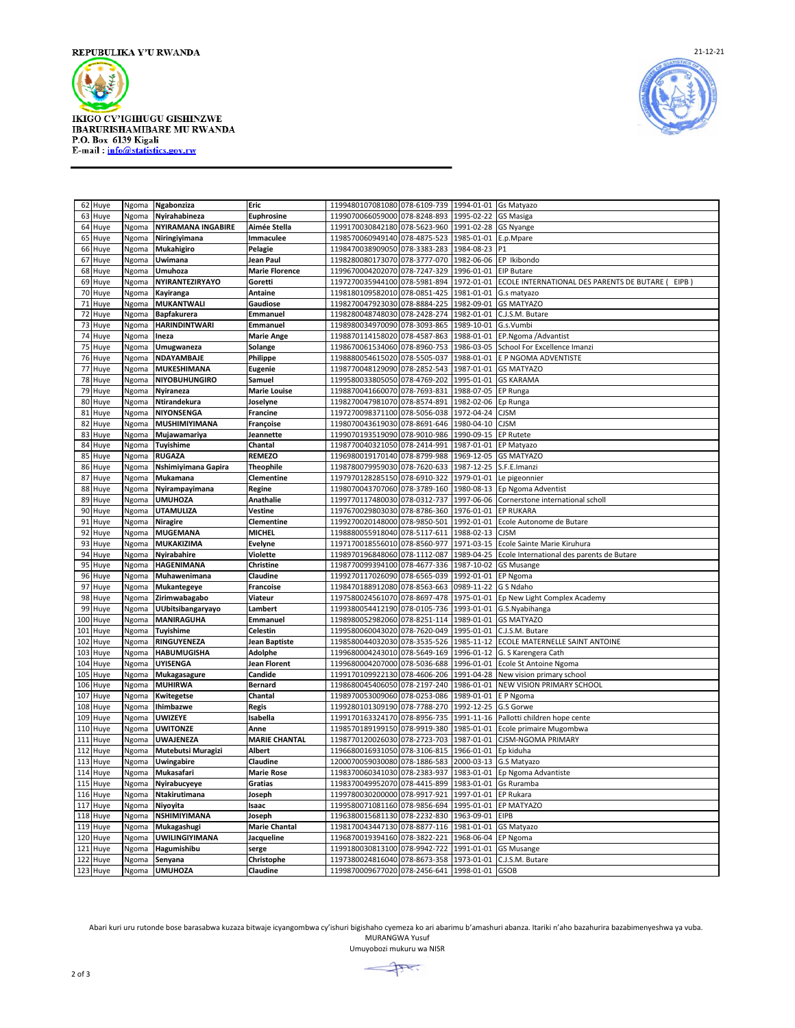

**IKIGO CY'IGIHUGU GISHINZWE IRARURISHAMIBARE MU RWANDA<br>P.O. Box 6139 Kigali<br>E-mail : info@statistics.gov.rw** 



|     | 62 Huye  | Ngoma | Ngabonziza                | Eric                  | 1199480107081080 078-6109-739                 |              | 1994-01-01 Gs Matyazo   |                                                     |
|-----|----------|-------|---------------------------|-----------------------|-----------------------------------------------|--------------|-------------------------|-----------------------------------------------------|
|     | 63 Huye  | Ngoma | Nyirahabineza             | Euphrosine            | 1199070066059000 078-8248-893                 |              | 1995-02-22              | <b>GS Masiga</b>                                    |
|     | 64 Huye  | Ngoma | <b>NYIRAMANA INGABIRE</b> | Aimée Stella          | 1199170030842180                              | 078-5623-960 | 1991-02-28 GS Nyange    |                                                     |
| 65  | Huye     | Ngoma | Niringiyimana             | Immaculee             | 1198570060949140 078-4875-523                 |              | 1985-01-01              | E.p.Mpare                                           |
| 66  | Huye     | Ngoma | Mukahigiro                | Pelagie               | 1198470038909050 078-3383-283                 |              | 1984-08-23              | P <sub>1</sub>                                      |
| 67  |          |       |                           | Jean Paul             | 1198280080173070 078-3777-070                 |              |                         | 1982-06-06 EP Ikibondo                              |
|     | Huye     | Ngoma | Uwimana                   |                       |                                               |              |                         |                                                     |
|     | 68 Huye  | Ngoma | Umuhoza                   | <b>Marie Florence</b> | 1199670004202070 078-7247-329                 |              | 1996-01-01              | <b>EIP Butare</b>                                   |
|     | 69 Huye  | Ngoma | NYIRANTEZIRYAYO           | Goretti               | 1197270035944100                              | 078-5981-894 | 1972-01-01              | ECOLE INTERNATIONAL DES PARENTS DE BUTARE (<br>EIPB |
| 70  | Huye     | Ngoma | Kayiranga                 | <b>Antaine</b>        | 1198180109582010 078-0851-425                 |              | 1981-01-01              | G.s matyazo                                         |
| 71  | Huye     | Ngoma | <b>MUKANTWALI</b>         | Gaudiose              | 1198270047923030 078-8884-225                 |              | 1982-09-01              | <b>GS MATYAZO</b>                                   |
| 72  | Huye     | Ngoma | Bapfakurera               | Emmanuel              | 1198280048748030 078-2428-274                 |              | 1982-01-01              | C.J.S.M. Butare                                     |
|     | 73 Huye  | Ngoma | <b>HARINDINTWARI</b>      | Emmanuel              | 1198980034970090 078-3093-865                 |              | 1989-10-01              | G.s.Vumbi                                           |
|     | 74 Huye  | Ngoma | Ineza                     | <b>Marie Ange</b>     | 1198870114158020                              | 078-4587-863 | 1988-01-01              | EP.Ngoma /Advantist                                 |
| 75  | Huye     | Ngoma | Umugwaneza                | Solange               | 1198670061534060                              | 078-8960-753 | 1986-03-05              | School For Excellence Imanzi                        |
|     | 76 Huye  | Ngoma | NDAYAMBAJE                | Philippe              | 1198880054615020                              | 078-5505-037 | 1988-01-01              | E P NGOMA ADVENTISTE                                |
|     |          |       |                           |                       |                                               |              |                         |                                                     |
| 77  | Huye     | Ngoma | MUKESHIMANA               | <b>Eugenie</b>        | 1198770048129090 078-2852-543                 |              | 1987-01-01              | <b>GS MATYAZO</b>                                   |
|     | 78 Huye  | Ngoma | <b>NIYOBUHUNGIRO</b>      | Samuel                | 1199580033805050 078-4769-202                 |              | 1995-01-01              | <b>GS KARAMA</b>                                    |
| 79  | Huye     | Ngoma | Nyiraneza                 | <b>Marie Louise</b>   | 1198870041660070                              | 078-7693-831 | 1988-07-05 EP Runga     |                                                     |
| 80  | Huye     | Ngoma | Ntirandekura              | Joselyne              | 1198270047981070                              | 078-8574-891 | 1982-02-06              | Ep Runga                                            |
| 81  | Huye     | Ngoma | NIYONSENGA                | <b>Francine</b>       | 1197270098371100                              | 078-5056-038 | 1972-04-24              | <b>CJSM</b>                                         |
| 82  | Huye     | Ngoma | MUSHIMIYIMANA             | Françoise             | 1198070043619030 078-8691-646                 |              | 1980-04-10              | <b>CJSM</b>                                         |
| 83  | Huye     | Ngoma | Mujawamariya              | Jeannette             | 1199070193519090 078-9010-986                 |              | 1990-09-15              | <b>EP Rutete</b>                                    |
| 84  | Huye     | Ngoma | Tuyishime                 | Chantal               | 1198770040321050                              | 078-2414-991 | 1987-01-01              | EP Matyazo                                          |
| 85  | Huye     | Ngoma | <b>RUGAZA</b>             | <b>REMEZO</b>         | 1196980019170140 078-8799-988                 |              | 1969-12-05              | <b>GS MATYAZO</b>                                   |
| 86  |          |       |                           | <b>Theophile</b>      | 1198780079959030                              | 078-7620-633 | 1987-12-25 S.F.E.Imanzi |                                                     |
|     | Huye     | Ngoma | Nshimiyimana Gapira       |                       |                                               |              |                         |                                                     |
| 87  | Huye     | Ngoma | Mukamana                  | Clementine            | 1197970128285150 078-6910-322                 |              | 1979-01-01              | Le pigeonnier                                       |
| 88  | Huye     | Ngoma | Nyirampayimana            | Regine                | 1198070043707060                              | 078-3789-160 | 1980-08-13              | Ep Ngoma Adventist                                  |
| 89  | Huye     | Ngoma | <b>UMUHOZA</b>            | Anathalie             | 1199770117480030                              | 078-0312-737 | 1997-06-06              | Cornerstone international scholl                    |
| 90  | Huye     | Ngoma | <b>UTAMULIZA</b>          | Vestine               | 1197670029803030                              | 078-8786-360 | 1976-01-01              | <b>EP RUKARA</b>                                    |
| 91  | Huye     | Ngoma | <b>Niragire</b>           | Clementine            | 1199270020148000                              | 078-9850-501 | 1992-01-01              | Ecole Autonome de Butare                            |
| 92  | Huye     | Ngoma | <b>MUGEMANA</b>           | <b>MICHEL</b>         | 1198880055918040 078-5117-611                 |              | 1988-02-13              | <b>CJSM</b>                                         |
| 93  | Huye     | Ngoma | MUKAKIZIMA                | Evelyne               | 1197170018556010                              | 078-8560-977 | 1971-03-15              | Ecole Sainte Marie Kiruhura                         |
|     | 94 Huye  | Ngoma | Nyirabahire               | Violette              | 1198970196848060 078-1112-087                 |              | 1989-04-25              | Ecole International des parents de Butare           |
| 95  | Huye     | Ngoma | HAGENIMANA                | Christine             | 1198770099394100                              | 078-4677-336 | 1987-10-02              | <b>GS Musange</b>                                   |
| 96  | Huye     | Ngoma | Muhawenimana              | Claudine              | 1199270117026090                              | 078-6565-039 | 1992-01-01              | EP Ngoma                                            |
| 97  | Huye     | Ngoma | Mukantegeye               | <b>Francoise</b>      | 1198470188912080                              | 078-8563-663 | 0989-11-22              | G S Ndaho                                           |
| 98  | Huye     | Ngoma | Zirimwabagabo             | Viateur               | 1197580024561070                              | 078-8697-478 | 1975-01-01              | Ep New Light Complex Academy                        |
| 99  | Huye     | Ngoma | UUbitsibangaryayo         | Lambert               | 1199380054412190 078-0105-736                 |              |                         | 1993-01-01 G.S. Nyabihanga                          |
|     | 100 Huye | Ngoma | <b>MANIRAGUHA</b>         | Emmanuel              | 1198980052982060                              | 078-8251-114 | 1989-01-01              | <b>GS MATYAZO</b>                                   |
| 101 |          |       | <b>Tuyishime</b>          | Celestin              | 1199580060043020                              | 078-7620-049 | 1995-01-01              | C.J.S.M. Butare                                     |
|     | Huye     | Ngoma |                           |                       |                                               |              |                         |                                                     |
| 102 | Huye     | Ngoma | RINGUYENEZA               | Jean Baptiste         | 1198580044032030                              | 078-3535-526 | 1985-11-12              | ECOLE MATERNELLE SAINT ANTOINE                      |
| 103 | Huye     | Ngoma | HABUMUGISHA               | Adolphe               | 1199680004243010                              | 078-5649-169 | 1996-01-12              | G. S Karengera Cath                                 |
| 104 | Huye     | Ngoma | UYISENGA                  | <b>Jean Florent</b>   | 1199680004207000 078-5036-688                 |              |                         | 1996-01-01 Ecole St Antoine Ngoma                   |
| 105 | Huye     | Ngoma | Mukagasagure              | Candide               | 1199170109922130                              | 078-4606-206 | 1991-04-28              | New vision primary school                           |
| 106 | Huye     | Ngoma | <b>MUHIRWA</b>            | <b>Bernard</b>        | 1198680045406050                              | 078-2197-240 | 1986-01-01              | NEW VISION PRIMARY SCHOOL                           |
| 107 | Huye     | Ngoma | Kwitegetse                | Chantal               | 1198970053009060                              | 078-0253-086 | 1989-01-01              | E P Ngoma                                           |
| 108 | Huye     | Ngoma | <b>Ihimbazwe</b>          | <b>Regis</b>          | 1199280101309190                              | 078-7788-270 | 1992-12-25              | G.S Gorwe                                           |
| 109 | Huye     | Ngoma | <b>UWIZEYE</b>            | Isabella              | 1199170163324170 078-8956-735                 |              |                         | 1991-11-16 Pallotti children hope cente             |
| 110 | Huye     | Ngoma | <b>UWITONZE</b>           | Anne                  | 1198570189199150                              | 078-9919-380 | 1985-01-01              | Ecole primaire Mugombwa                             |
| 111 | Huye     | Ngoma | UWAJENEZA                 | <b>MARIE CHANTAL</b>  | 1198770120026030                              | 078-2723-703 | 1987-01-01              | CJSM-NGOMA PRIMARY                                  |
| 112 | Huye     | Ngoma | Mutebutsi Muragizi        | <b>Albert</b>         | 1196680016931050                              | 078-3106-815 | 1966-01-01              | Ep kiduha                                           |
| 113 | Huye     |       | Uwingabire                | Claudine              | 1200070059030080                              | 078-1886-583 | 2000-03-13              | G.S Matyazo                                         |
|     |          | Ngoma |                           |                       |                                               |              |                         |                                                     |
| 114 | Huye     | Ngoma | Mukasafari                | <b>Marie Rose</b>     | 1198370060341030 078-2383-937                 |              | 1983-01-01              | Ep Ngoma Advantiste                                 |
|     | 115 Huye | Ngoma | Nyirabucyeye              | Gratias               | 1198370049952070 078-4415-899                 |              | 1983-01-01              | Gs Ruramba                                          |
|     | 116 Huye | Ngoma | Ntakirutimana             | Joseph                | 1199780030200000                              | 078-9917-921 | 1997-01-01              | <b>EP Rukara</b>                                    |
| 117 | Huye     | Ngoma | Niyovita                  | Isaac                 | 1199580071081160 078-9856-694                 |              | 1995-01-01              | <b>EP MATYAZO</b>                                   |
| 118 | Huye     | Ngoma | NSHIMIYIMANA              | Joseph                | 1196380015681130                              | 078-2232-830 | 1963-09-01              | <b>EIPB</b>                                         |
| 119 | Huye     | Ngoma | Mukagashugi               | <b>Marie Chantal</b>  | 1198170043447130 078-8877-116                 |              | 1981-01-01              | GS Matyazo                                          |
|     | 120 Huye | Ngoma | UWILINGIYIMANA            | Jacqueline            | 1196870019394160 078-3822-221                 |              | 1968-06-04              | EP Ngoma                                            |
| 121 | Huye     | Ngoma | Hagumishibu               | serge                 | 1199180030813100                              | 078-9942-722 |                         | 1991-01-01 GS Musange                               |
| 122 | Huye     | Ngoma | Senyana                   | Christophe            | 1197380024816040 078-8673-358                 |              |                         | 1973-01-01 C.J.S.M. Butare                          |
|     | 123 Huye |       | Ngoma UMUHOZA             | Claudine              | 1199870009677020 078-2456-641 1998-01-01 GSOB |              |                         |                                                     |

Abari kuri uru rutonde bose barasabwa kuzaza bitwaje icyangombwa cy'ishuri bigishaho cyemeza ko ari abarimu b'amashuri abanza. Itariki n'aho bazahurira bazabimenyeshwa ya vuba. MURANGWA Yusuf

Umuyobozi mukuru wa NISR